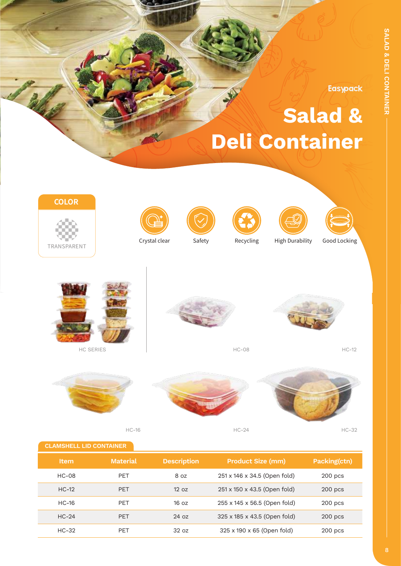**Easypack** 

## **Salad & Deli Container**













Crystal clear Safety Recycling High Durability Good Locking











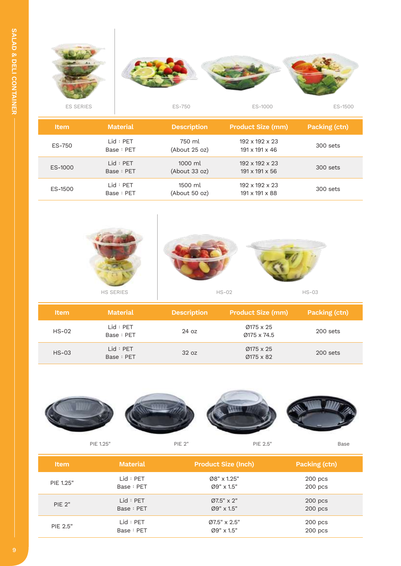

| <b>Item</b> | <b>Material</b>        | <b>Description</b>       | <b>Product Size (mm)</b>                     | <b>Packing (ctn)</b> |
|-------------|------------------------|--------------------------|----------------------------------------------|----------------------|
| ES-750      | Lid : PET<br>Base: PET | 750 ml<br>(About 25 oz)  | 192 x 192 x 23<br>191 x 191 x 46             | 300 sets             |
| ES-1000     | Lid : PET<br>Base: PET | 1000 ml<br>(About 33 oz) | $192 \times 192 \times 23$<br>191 x 191 x 56 | 300 sets             |
| ES-1500     | Lid : PET<br>Base: PET | 1500 ml<br>(About 50 oz) | 192 x 192 x 23<br>191 x 191 x 88             | 300 sets             |







| <b>Item</b> | Material               | <b>Description</b> | <b>Product Size (mm)</b>        | <b>Packing (ctn)</b> |
|-------------|------------------------|--------------------|---------------------------------|----------------------|
| $HS-02$     | Lid : PET<br>Base: PET | $24 \text{ oz}$    | $Ø175 \times 25$<br>Ø175 x 74.5 | $200$ sets           |
| $HS-03$     | Lid : PET<br>Base: PET | 32 oz              | $Ø175 \times 25$<br>Ø175 x 82   | $200$ sets           |



| <b>Item</b>   | <b>Material</b> | <b>Product Size (Inch)</b> | Packing (ctn) |
|---------------|-----------------|----------------------------|---------------|
| PIE 1.25"     | Lid : PET       | $Ø8" \times 1.25"$         | $200$ pcs     |
|               | Base: PET       | $Ø9'' \times 1.5''$        | $200$ pcs     |
| <b>PIE 2"</b> | Lid : PET       | $Ø7.5" \times 2"$          | $200$ pcs     |
|               | Base: PET       | $Ø9'' \times 1.5''$        | $200$ pcs     |
| PIE 2.5"      | Lid : PET       | $Ø7.5" \times 2.5"$        | $200$ pcs     |
|               | Base: PET       | $Ø9'' \times 1.5''$        | 200 pcs       |

í.